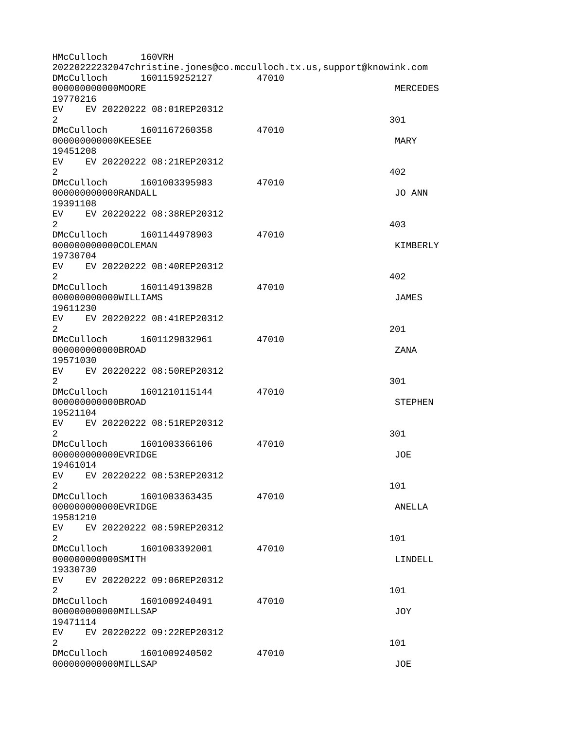| HMcCulloch                     | 160VRH                       | 20220222232047christine.jones@co.mcculloch.tx.us,support@knowink.com |                 |  |
|--------------------------------|------------------------------|----------------------------------------------------------------------|-----------------|--|
| DMcCulloch<br>00000000000M00RE | 1601159252127                | 47010                                                                | <b>MERCEDES</b> |  |
| 19770216                       |                              |                                                                      |                 |  |
| EV  <br>$\overline{2}$         | EV 20220222 08:01REP20312    |                                                                      | 301             |  |
| 00000000000KEESEE              | DMcCulloch 1601167260358     | 47010                                                                | <b>MARY</b>     |  |
| 19451208                       |                              |                                                                      |                 |  |
| $\overline{2}$                 | EV EV 20220222 08:21REP20312 |                                                                      | 402             |  |
| 000000000000RANDALL            | DMcCulloch 1601003395983     | 47010                                                                | JO ANN          |  |
| 19391108                       |                              |                                                                      |                 |  |
| EV<br>2                        | EV 20220222 08:38REP20312    |                                                                      | 403             |  |
| 000000000000COLEMAN            | DMcCulloch 1601144978903     | 47010                                                                | KIMBERLY        |  |
| 19730704                       |                              |                                                                      |                 |  |
|                                | EV EV 20220222 08:40REP20312 |                                                                      |                 |  |
| $\overline{2}$                 |                              |                                                                      | 402             |  |
|                                | DMcCulloch 1601149139828     | 47010                                                                |                 |  |
| 000000000000WILLIAMS           |                              |                                                                      | <b>JAMES</b>    |  |
| 19611230                       |                              |                                                                      |                 |  |
| $\overline{2}$                 | EV EV 20220222 08:41REP20312 |                                                                      | 201             |  |
|                                | DMcCulloch 1601129832961     | 47010                                                                |                 |  |
| 00000000000BR0AD               |                              |                                                                      | <b>ZANA</b>     |  |
| 19571030                       |                              |                                                                      |                 |  |
| $\overline{2}$                 | EV EV 20220222 08:50REP20312 |                                                                      | 301             |  |
| DMcCulloch                     | 1601210115144                | 47010                                                                |                 |  |
| 00000000000BR0AD               |                              |                                                                      | <b>STEPHEN</b>  |  |
| 19521104                       |                              |                                                                      |                 |  |
| EV<br>2                        | EV 20220222 08:51REP20312    |                                                                      | 301             |  |
| DMcCulloch                     | 1601003366106                | 47010                                                                |                 |  |
| 000000000000EVRIDGE            |                              |                                                                      | J0E             |  |
| 19461014                       |                              |                                                                      |                 |  |
|                                | EV EV 20220222 08:53REP20312 |                                                                      |                 |  |
| $\overline{2}$                 |                              |                                                                      | 101             |  |
|                                | DMcCulloch 1601003363435     | 47010                                                                |                 |  |
| 00000000000EVRIDGE<br>19581210 |                              |                                                                      | ANELLA          |  |
| EV.                            | EV 20220222 08:59REP20312    |                                                                      |                 |  |
| $\overline{2}$                 |                              |                                                                      | 101             |  |
|                                | DMcCulloch 1601003392001     | 47010                                                                |                 |  |
| 000000000000SMITH              |                              |                                                                      | LINDELL         |  |
| 19330730                       |                              |                                                                      |                 |  |
| $\overline{2}$                 | EV EV 20220222 09:06REP20312 |                                                                      | 101             |  |
|                                | DMcCulloch 1601009240491     | 47010                                                                |                 |  |
| 00000000000MILLSAP             |                              |                                                                      | J0Y             |  |
| 19471114                       |                              |                                                                      |                 |  |
| EV EV 20220222 09:22REP20312   |                              |                                                                      |                 |  |
| $\overline{2}$                 |                              |                                                                      | 101             |  |
|                                | DMcCulloch 1601009240502     | 47010                                                                |                 |  |
| 00000000000MILLSAP             |                              |                                                                      | JOE             |  |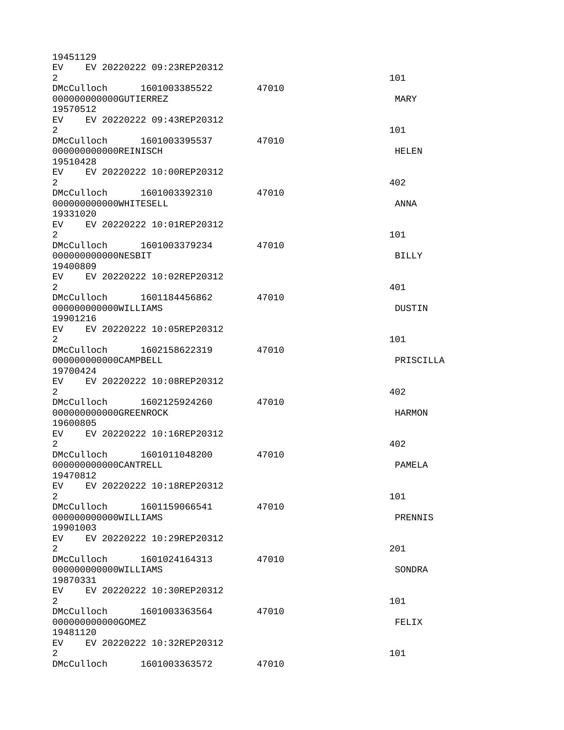| 19451129                         |  |                              |       |               |
|----------------------------------|--|------------------------------|-------|---------------|
|                                  |  | EV EV 20220222 09:23REP20312 |       |               |
| 2                                |  |                              |       | 101           |
|                                  |  | DMcCulloch 1601003385522     | 47010 |               |
| 000000000000GUTIERREZ            |  |                              |       | MARY          |
| 19570512                         |  |                              |       |               |
|                                  |  | EV EV 20220222 09:43REP20312 |       |               |
| 2                                |  |                              |       | 101           |
|                                  |  | DMcCulloch 1601003395537     | 47010 |               |
| 000000000000REINISCH             |  |                              |       | <b>HELEN</b>  |
| 19510428                         |  |                              |       |               |
|                                  |  | EV EV 20220222 10:00REP20312 |       |               |
| $\overline{2}$                   |  |                              |       | 402           |
|                                  |  | DMcCulloch 1601003392310     | 47010 |               |
| 000000000000WHITESELL            |  |                              |       | <b>ANNA</b>   |
| 19331020                         |  |                              |       |               |
| EV.                              |  | EV 20220222 10:01REP20312    |       |               |
| 2                                |  |                              |       | 101           |
|                                  |  | DMcCulloch 1601003379234     | 47010 |               |
| 000000000000NESBIT               |  |                              |       | <b>BILLY</b>  |
| 19400809                         |  |                              |       |               |
| $\mathcal{P}$                    |  | EV EV 20220222 10:02REP20312 |       |               |
|                                  |  |                              |       | 401           |
|                                  |  | DMcCulloch 1601184456862     | 47010 |               |
| 000000000000WILLIAMS<br>19901216 |  |                              |       | <b>DUSTIN</b> |
|                                  |  |                              |       |               |
| $\overline{2}$                   |  | EV EV 20220222 10:05REP20312 |       |               |
|                                  |  |                              |       | 101           |
| 000000000000CAMPBELL             |  | DMcCulloch 1602158622319     | 47010 | PRISCILLA     |
|                                  |  |                              |       |               |
| 19700424                         |  | EV EV 20220222 10:08REP20312 |       |               |
| $\overline{2}$                   |  |                              |       | 402           |
| DMcCulloch                       |  | 1602125924260                | 47010 |               |
| 000000000000GREENROCK            |  |                              |       | <b>HARMON</b> |
| 19600805                         |  |                              |       |               |
| EV                               |  | EV 20220222 10:16REP20312    |       |               |
| $\overline{2}$                   |  |                              |       | 402           |
| DMcCulloch                       |  | 1601011048200                | 47010 |               |
| 000000000000CANTRELL             |  |                              |       | PAMELA        |
| 19470812                         |  |                              |       |               |
| <b>EV</b>                        |  | EV 20220222 10:18REP20312    |       |               |
| $\mathbf{2}$                     |  |                              |       | 101           |
|                                  |  | DMcCulloch 1601159066541     | 47010 |               |
| 000000000000WILLIAMS             |  |                              |       | PRENNIS       |
| 19901003                         |  |                              |       |               |
|                                  |  | EV EV 20220222 10:29REP20312 |       |               |
| $\overline{2}$                   |  |                              |       | 201           |
|                                  |  | DMcCulloch 1601024164313     | 47010 |               |
| 000000000000WILLIAMS             |  |                              |       | <b>SONDRA</b> |
| 19870331                         |  |                              |       |               |
|                                  |  | EV EV 20220222 10:30REP20312 |       |               |
| $\overline{2}$                   |  |                              |       | 101           |
|                                  |  | DMcCulloch 1601003363564     | 47010 |               |
| 000000000000GOMEZ                |  |                              |       | FELIX         |
| 19481120                         |  |                              |       |               |
|                                  |  | EV EV 20220222 10:32REP20312 |       |               |
| $\overline{2}$                   |  |                              |       | 101           |
| DMcCulloch                       |  | 1601003363572                | 47010 |               |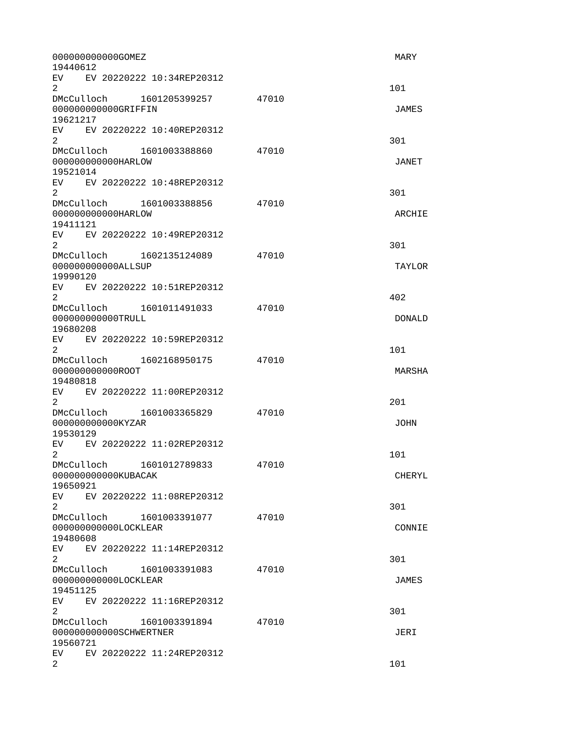| 000000000000GOMEZ<br>19440612                                                                                                                                                                                                                                                 | <b>MARY</b>   |
|-------------------------------------------------------------------------------------------------------------------------------------------------------------------------------------------------------------------------------------------------------------------------------|---------------|
| EV and the set of the set of the set of the set of the set of the set of the set of the set of the set of the set of the set of the set of the set of the set of the set of the set of the set of the set of the set of the se<br>EV 20220222 10:34REP20312<br>$\overline{2}$ | 101           |
| DMcCulloch 1601205399257 47010<br>000000000000GRIFFIN<br>19621217                                                                                                                                                                                                             | <b>JAMES</b>  |
| EV EV 20220222 10:40REP20312<br>$\overline{2}$                                                                                                                                                                                                                                | 301           |
| DMcCulloch 1601003388860<br>47010<br>000000000000HARLOW<br>19521014                                                                                                                                                                                                           | JANET         |
| EV EV 20220222 10:48REP20312<br>$\overline{2}$                                                                                                                                                                                                                                | 301           |
| DMcCulloch 1601003388856<br>47010<br>000000000000HARLOW<br>19411121                                                                                                                                                                                                           | ARCHIE        |
| EV EV 20220222 10:49REP20312<br>2                                                                                                                                                                                                                                             | 301           |
| DMcCulloch 1602135124089 47010<br>00000000000ALLSUP<br>19990120                                                                                                                                                                                                               | <b>TAYLOR</b> |
| EV EV 20220222 10:51REP20312<br>$\overline{2}$                                                                                                                                                                                                                                | 402           |
| DMcCulloch 1601011491033<br>47010<br>000000000000TRULL<br>19680208                                                                                                                                                                                                            | <b>DONALD</b> |
| EV EV 20220222 10:59REP20312<br>$\overline{2}$                                                                                                                                                                                                                                | 101           |
| DMcCulloch 1602168950175<br>47010<br>00000000000R00T<br>19480818                                                                                                                                                                                                              | MARSHA        |
| EV EV 20220222 11:00REP20312<br>2 <sup>1</sup>                                                                                                                                                                                                                                | 201           |
| DMcCulloch 1601003365829<br>47010<br>000000000000KYZAR<br>19530129                                                                                                                                                                                                            | <b>JOHN</b>   |
| EV.<br>EV 20220222 11:02REP20312<br>2                                                                                                                                                                                                                                         | 101           |
| DMcCulloch 1601012789833<br>47010<br>000000000000KUBACAK<br>19650921                                                                                                                                                                                                          | <b>CHERYL</b> |
| EV EV 20220222 11:08REP20312<br>$\overline{2}$                                                                                                                                                                                                                                | 301           |
| DMcCulloch<br>47010<br>1601003391077<br>000000000000LOCKLEAR<br>19480608                                                                                                                                                                                                      | CONNIE        |
| EV<br>EV 20220222 11:14REP20312<br>$\overline{2}$                                                                                                                                                                                                                             | 301           |
| DMcCulloch<br>1601003391083<br>47010<br>000000000000LOCKLEAR<br>19451125                                                                                                                                                                                                      | <b>JAMES</b>  |
| EV <sub>2</sub><br>EV 20220222 11:16REP20312<br>$\overline{2}$                                                                                                                                                                                                                | 301           |
| DMcCulloch<br>47010<br>1601003391894<br>000000000000SCHWERTNER<br>19560721                                                                                                                                                                                                    | JERI          |
| EV.<br>EV 20220222 11:24REP20312<br>$\overline{2}$                                                                                                                                                                                                                            | 101           |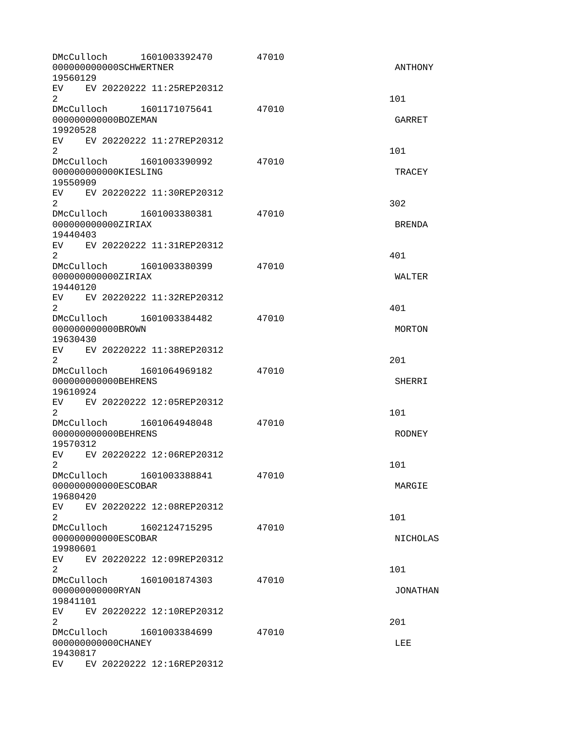| DMcCulloch 1601003392470<br>000000000000SCHWERTNER<br>19560129                                                                                                                                                                                              | 47010 | ANTHONY         |
|-------------------------------------------------------------------------------------------------------------------------------------------------------------------------------------------------------------------------------------------------------------|-------|-----------------|
| EV EV 20220222 11:25REP20312<br>$\overline{2}$                                                                                                                                                                                                              |       | 101             |
| DMcCulloch  1601171075641  47010<br>00000000000B0ZEMAN<br>19920528                                                                                                                                                                                          |       | GARRET          |
| EV EV 20220222 11:27REP20312<br>$\overline{a}$                                                                                                                                                                                                              |       | 101             |
| DMcCulloch 1601003390992 47010<br>000000000000KIESLING<br>19550909                                                                                                                                                                                          |       | <b>TRACEY</b>   |
| EV EV 20220222 11:30REP20312<br>$2^{\circ}$                                                                                                                                                                                                                 |       | 302             |
| DMcCulloch 1601003380381 47010<br>000000000000ZIRIAX<br>19440403                                                                                                                                                                                            |       | <b>BRENDA</b>   |
| EV EV 20220222 11:31REP20312<br>$\overline{2}$                                                                                                                                                                                                              |       | 401             |
| DMcCulloch 1601003380399<br>000000000000ZIRIAX<br>19440120                                                                                                                                                                                                  | 47010 | <b>WALTER</b>   |
| EV EV 20220222 11:32REP20312<br>$\overline{2}$                                                                                                                                                                                                              |       | 401             |
| 000000000000BR0WN<br>19630430                                                                                                                                                                                                                               | 47010 | <b>MORTON</b>   |
| EV EV 20220222 11:38REP20312<br>$\overline{2}$                                                                                                                                                                                                              |       | 201             |
| DMcCulloch   1601064969182<br>000000000000BEHRENS<br>19610924                                                                                                                                                                                               | 47010 | <b>SHERRI</b>   |
| EV EV 20220222 12:05REP20312<br>$\mathbf{2}$                                                                                                                                                                                                                |       | 101             |
| DMcCulloch 1601064948048 47010<br>000000000000BEHRENS<br>19570312                                                                                                                                                                                           |       | <b>RODNEY</b>   |
| EV EV 20220222 12:06REP20312<br>2                                                                                                                                                                                                                           |       | 101             |
| DMcCulloch<br>1601003388841<br>00000000000ESC0BAR<br>19680420                                                                                                                                                                                               | 47010 | MARGIE          |
| EV EV 20220222 12:08REP20312<br>2                                                                                                                                                                                                                           |       | 101             |
| 00000000000ESC0BAR<br>19980601                                                                                                                                                                                                                              | 47010 | <b>NICHOLAS</b> |
| EV<br>EV 20220222 12:09REP20312<br>$\overline{2}$                                                                                                                                                                                                           |       | 101             |
| DMcCulloch<br>1601001874303<br>00000000000RYAN<br>19841101                                                                                                                                                                                                  | 47010 | <b>JONATHAN</b> |
| EV EV 20220222 12:10REP20312<br>$\overline{2}$                                                                                                                                                                                                              |       | 201             |
| DMcCulloch 1601003384699<br>000000000000CHANEY<br>19430817                                                                                                                                                                                                  | 47010 | <b>LEE</b>      |
| EV 20220222 12:16REP20312<br>EV and the set of the set of the set of the set of the set of the set of the set of the set of the set of the set of the set of the set of the set of the set of the set of the set of the set of the set of the set of the se |       |                 |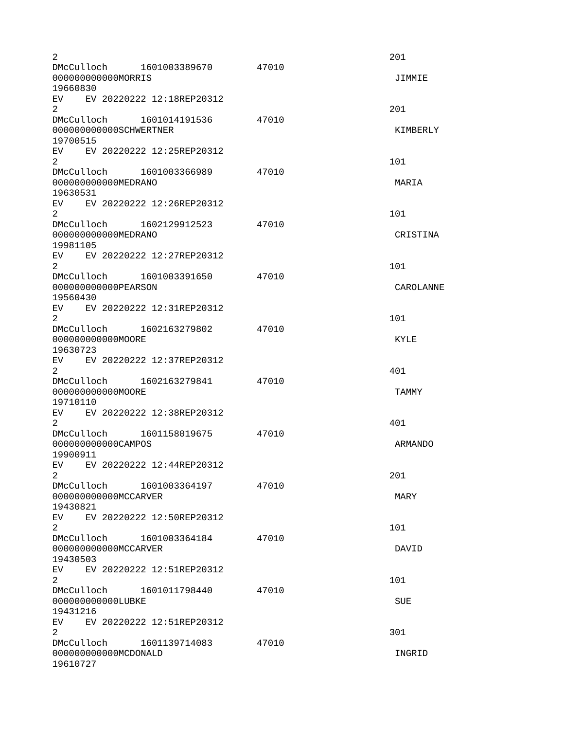| $\overline{c}$<br>DMcCulloch 1601003389670<br>000000000000MORRIS   | 47010 | 201<br>JIMMIE |
|--------------------------------------------------------------------|-------|---------------|
| 19660830<br>EV EV 20220222 12:18REP20312                           |       |               |
| $\overline{2}$<br>DMcCulloch 1601014191536                         | 47010 | 201           |
| 000000000000SCHWERTNER<br>19700515                                 |       | KIMBERLY      |
| EV EV 20220222 12:25REP20312<br>$\overline{2}$                     |       | 101           |
| DMcCulloch 1601003366989<br>000000000000MEDRANO<br>19630531        | 47010 | MARIA         |
| EV EV 20220222 12:26REP20312<br>2                                  |       | 101           |
| DMcCulloch 1602129912523<br>000000000000MEDRANO<br>19981105        | 47010 | CRISTINA      |
| EV EV 20220222 12:27REP20312<br>$\overline{2}$                     |       | 101           |
| DMcCulloch 1601003391650<br>000000000000PEARSON<br>19560430        | 47010 | CAROLANNE     |
| EV EV 20220222 12:31REP20312<br>2                                  |       | 101           |
| DMcCulloch 1602163279802<br>00000000000M00RE<br>19630723           | 47010 | <b>KYLE</b>   |
| EV EV 20220222 12:37REP20312<br>$\overline{2}$                     |       | 401           |
| DMcCulloch 1602163279841<br>000000000000MOORE<br>19710110          | 47010 | <b>TAMMY</b>  |
| EV<br>EV 20220222 12:38REP20312<br>2                               |       | 401           |
| DMcCulloch 1601158019675<br>000000000000CAMP0S<br>19900911         | 47010 | ARMANDO       |
| EV EV 20220222 12:44REP20312<br>2                                  |       | 201           |
| DMcCulloch 1601003364197 47010<br>000000000000MCCARVER<br>19430821 |       | MARY          |
| EV<br>EV 20220222 12:50REP20312<br>2                               |       | 101           |
| DMcCulloch 1601003364184<br>000000000000MCCARVER<br>19430503       | 47010 | DAVID         |
| EV EV 20220222 12:51REP20312<br>$\overline{2}$                     |       | 101           |
| DMcCulloch 1601011798440<br>000000000000LUBKE<br>19431216          | 47010 | <b>SUE</b>    |
| EV EV 20220222 12:51REP20312<br>$\overline{2}$                     |       | 301           |
| DMcCulloch 1601139714083<br>000000000000MCD0NALD<br>19610727       | 47010 | INGRID        |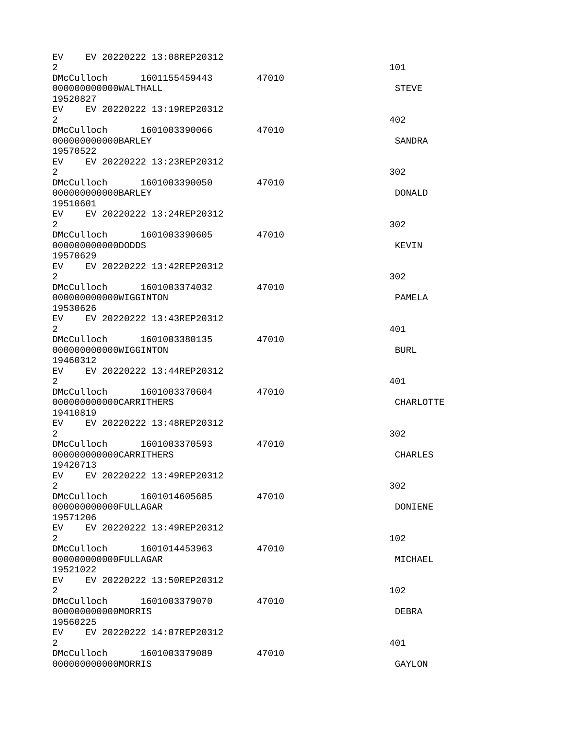| EV.<br>2                                 |                        | EV 20220222 13:08REP20312                                |       | 101              |
|------------------------------------------|------------------------|----------------------------------------------------------|-------|------------------|
|                                          | 000000000000WALTHALL   | DMcCulloch 1601155459443                                 | 47010 | <b>STEVE</b>     |
| 19520827                                 |                        |                                                          |       |                  |
| $\overline{2}$                           |                        | EV EV 20220222 13:19REP20312                             |       | 402              |
|                                          | DMcCulloch             | 1601003390066                                            | 47010 |                  |
| 19570522                                 | 000000000000BARLEY     |                                                          |       | SANDRA           |
| $\overline{2}$                           |                        | EV EV 20220222 13:23REP20312                             |       | 302              |
|                                          | DMcCulloch             | 1601003390050                                            | 47010 |                  |
| 19510601                                 | 000000000000BARLEY     |                                                          |       | <b>DONALD</b>    |
| EV.<br>2                                 |                        | EV 20220222 13:24REP20312                                |       | 302              |
| DMcCulloch                               |                        | 1601003390605                                            | 47010 |                  |
|                                          | 000000000000DDDS       |                                                          |       | <b>KFVTN</b>     |
| 19570629                                 |                        |                                                          |       |                  |
| $\overline{2}$                           |                        | EV EV 20220222 13:42REP20312<br>DMcCulloch 1601003374032 | 47010 | 302              |
|                                          | 000000000000WIGGINTON  |                                                          |       | PAMELA           |
| 19530626                                 |                        |                                                          |       |                  |
|                                          |                        | EV EV 20220222 13:43REP20312                             |       |                  |
| $\overline{2}$                           |                        |                                                          |       | 401              |
|                                          |                        | DMcCulloch 1601003380135                                 | 47010 |                  |
|                                          | 000000000000WIGGINTON  |                                                          |       | <b>BURL</b>      |
| 19460312                                 |                        |                                                          |       |                  |
|                                          |                        | EV EV 20220222 13:44REP20312                             |       |                  |
| $\overline{2}$                           |                        |                                                          |       | 401              |
| DMcCulloch                               |                        | 1601003370604                                            | 47010 |                  |
|                                          | 000000000000CARRITHERS |                                                          |       | <b>CHARLOTTE</b> |
| 19410819                                 |                        |                                                          |       |                  |
| EV.                                      |                        | EV 20220222 13:48REP20312                                |       |                  |
| 2                                        |                        |                                                          |       | 302              |
| DMcCulloch                               |                        | 1601003370593                                            | 47010 |                  |
|                                          | 000000000000CARRITHERS |                                                          |       | <b>CHARLES</b>   |
| 19420713                                 |                        | EV EV 20220222 13:49REP20312                             |       |                  |
| $\overline{2}$                           |                        |                                                          |       | 302              |
| DMcCulloch                               |                        | 1601014605685                                            | 47010 |                  |
|                                          | 000000000000FULLAGAR   |                                                          |       | DONIENE          |
| 19571206                                 |                        |                                                          |       |                  |
| EV.                                      |                        | EV 20220222 13:49REP20312                                |       |                  |
| 2                                        |                        |                                                          |       | 102              |
|                                          |                        | DMcCulloch 1601014453963                                 | 47010 |                  |
|                                          | 000000000000FULLAGAR   |                                                          |       | MICHAEL          |
| 19521022                                 |                        |                                                          |       |                  |
|                                          |                        | EV EV 20220222 13:50REP20312                             |       |                  |
| $\overline{2}$                           |                        |                                                          |       | 102              |
|                                          |                        | DMcCulloch 1601003379070                                 | 47010 |                  |
| 000000000000MORRIS<br><b>DEBRA</b>       |                        |                                                          |       |                  |
| 19560225<br>EV EV 20220222 14:07REP20312 |                        |                                                          |       |                  |
| $\overline{2}$                           |                        |                                                          |       | 401              |
|                                          |                        | DMcCulloch 1601003379089                                 | 47010 |                  |
|                                          | 00000000000MORRIS      |                                                          |       | GAYLON           |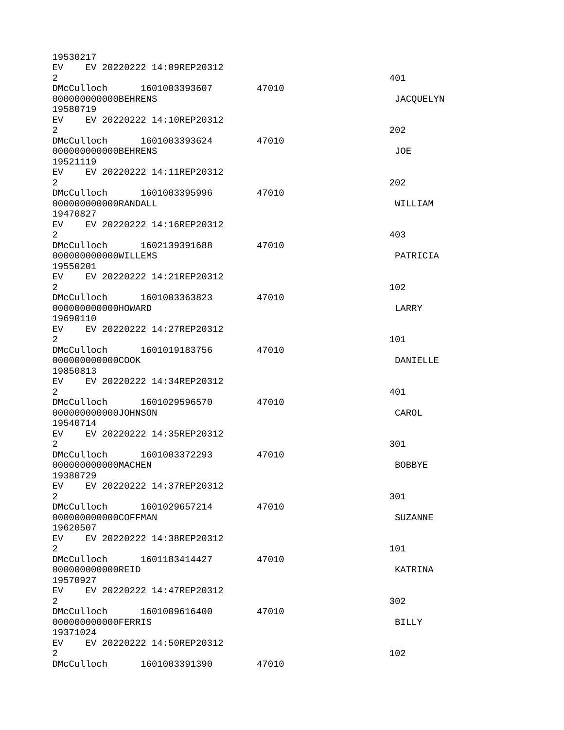| 19530217                        |                              |       |                |
|---------------------------------|------------------------------|-------|----------------|
| EV .                            | EV 20220222 14:09REP20312    |       |                |
| 2                               |                              |       | 401            |
| 000000000000BEHRENS             | DMcCulloch 1601003393607     | 47010 |                |
| 19580719                        |                              |       | JACQUELYN      |
|                                 | EV EV 20220222 14:10REP20312 |       |                |
| $\overline{2}$                  |                              |       | 202            |
|                                 | DMcCulloch 1601003393624     | 47010 |                |
| 000000000000BEHRENS             |                              |       | JOE            |
| 19521119                        |                              |       |                |
|                                 | EV EV 20220222 14:11REP20312 |       |                |
| $\overline{2}$                  |                              |       | 202            |
|                                 | DMcCulloch 1601003395996     | 47010 |                |
| 000000000000RANDALL             |                              |       | WILLIAM        |
| 19470827                        |                              |       |                |
|                                 | EV EV 20220222 14:16REP20312 |       |                |
| 2                               |                              |       | 403            |
|                                 | DMcCulloch 1602139391688     | 47010 |                |
| 000000000000WILLEMS<br>19550201 |                              |       | PATRICIA       |
|                                 | EV EV 20220222 14:21REP20312 |       |                |
| $\overline{2}$                  |                              |       | 102            |
|                                 | DMcCulloch 1601003363823     | 47010 |                |
| 000000000000H0WARD              |                              |       | LARRY          |
| 19690110                        |                              |       |                |
|                                 | EV EV 20220222 14:27REP20312 |       |                |
| $\overline{2}$                  |                              |       | 101            |
|                                 | DMcCulloch 1601019183756     | 47010 |                |
| 000000000000C00K                |                              |       | DANIELLE       |
| 19850813                        |                              |       |                |
|                                 | EV EV 20220222 14:34REP20312 |       |                |
| $\overline{2}$                  |                              |       | 401            |
|                                 | DMcCulloch 1601029596570     | 47010 |                |
| 000000000000J0HNSON<br>19540714 |                              |       | CAROL          |
| EV                              | EV 20220222 14:35REP20312    |       |                |
| $\overline{2}$                  |                              |       | 301            |
| DMcCulloch                      | 1601003372293                | 47010 |                |
| 00000000000MACHEN               |                              |       | <b>BOBBYE</b>  |
| 19380729                        |                              |       |                |
| EV                              | EV 20220222 14:37REP20312    |       |                |
| $\overline{2}$                  |                              |       | 301            |
|                                 | DMcCulloch 1601029657214     | 47010 |                |
| 000000000000C0FFMAN             |                              |       | <b>SUZANNE</b> |
| 19620507                        |                              |       |                |
|                                 | EV EV 20220222 14:38REP20312 |       |                |
| $\overline{2}$                  |                              |       | 101            |
|                                 | DMcCulloch 1601183414427     | 47010 |                |
| 00000000000REID                 |                              |       | KATRINA        |
| 19570927                        |                              |       |                |
| $\overline{2}$                  | EV EV 20220222 14:47REP20312 |       | 302            |
|                                 | DMcCulloch 1601009616400     | 47010 |                |
| 00000000000FERRIS               |                              |       | <b>BILLY</b>   |
| 19371024                        |                              |       |                |
|                                 | EV EV 20220222 14:50REP20312 |       |                |
| $\overline{2}$                  |                              |       | 102            |
|                                 | DMcCulloch 1601003391390     | 47010 |                |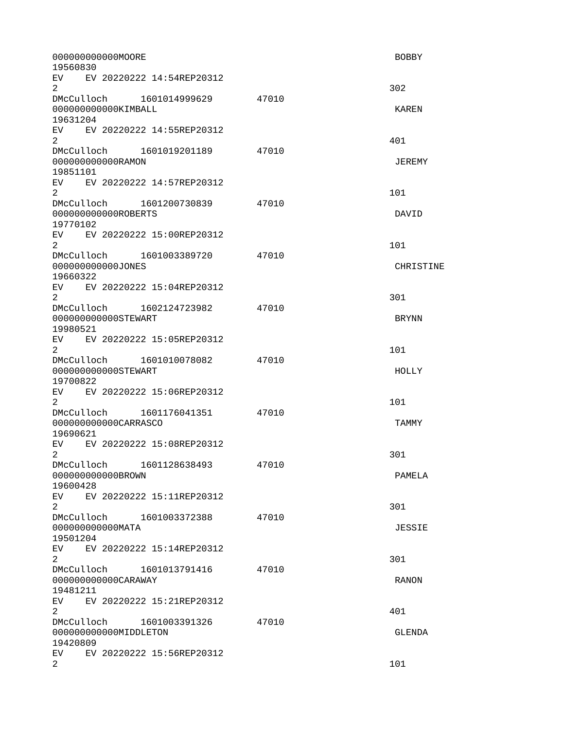| 000000000000MOORE<br>19560830                                        |       | <b>BOBBY</b>  |
|----------------------------------------------------------------------|-------|---------------|
| EV EV 20220222 14:54REP20312<br>$\overline{2}$                       |       | 302           |
| 000000000000KIMBALL<br>19631204                                      | 47010 | <b>KAREN</b>  |
| EV EV 20220222 14:55REP20312<br>$\overline{2}$                       |       | 401           |
| 47010<br>00000000000RAMON<br>19851101                                |       | <b>JEREMY</b> |
| EV EV 20220222 14:57REP20312<br>$\overline{2}$                       |       | 101           |
| DMcCulloch 1601200730839<br>000000000000R0BERTS<br>19770102          | 47010 | DAVID         |
| EV EV 20220222 15:00REP20312<br>$\overline{2}$                       |       | 101           |
| DMcCulloch 1601003389720<br>000000000000JONES<br>19660322            | 47010 | CHRISTINE     |
| EV EV 20220222 15:04REP20312<br>$\overline{2}$                       |       | 301           |
| DMcCulloch  1602124723982<br>000000000000STEWART<br>19980521         | 47010 | <b>BRYNN</b>  |
| EV EV 20220222 15:05REP20312<br>$\overline{2}$                       |       | 101           |
| DMcCulloch 1601010078082<br>000000000000STEWART<br>19700822          | 47010 | HOLLY         |
| EV EV 20220222 15:06REP20312<br>$\overline{2}$                       |       | 101           |
| DMcCulloch  1601176041351  47010<br>000000000000CARRASCO<br>19690621 |       | <b>TAMMY</b>  |
| EV.<br>EV 20220222 15:08REP20312<br>$\overline{2}$                   |       | 301           |
| DMcCulloch 1601128638493<br>00000000000BR0WN<br>19600428             | 47010 | PAMELA        |
| EV EV 20220222 15:11REP20312<br>$\overline{2}$                       |       | 301           |
| DMcCulloch 1601003372388<br>00000000000MATA<br>19501204              | 47010 | <b>JESSIE</b> |
| EV<br>EV 20220222 15:14REP20312<br>$\overline{2}$                    |       | 301           |
| DMcCulloch 1601013791416<br>000000000000CARAWAY<br>19481211          | 47010 | <b>RANON</b>  |
| EV EV 20220222 15:21REP20312<br>$\overline{2}$                       |       | 401           |
| DMcCulloch 1601003391326<br>000000000000MIDDLETON<br>19420809        | 47010 | GLENDA        |
| EV <sub>2</sub><br>EV 20220222 15:56REP20312<br>$\overline{2}$       |       | 101           |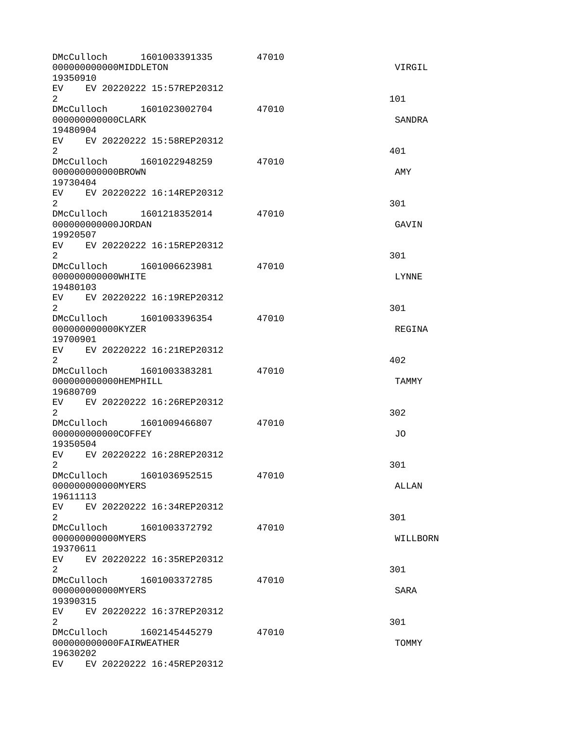| DMcCulloch<br>000000000000MIDDLETON<br>19350910                  | 1601003391335 | 47010 | VIRGIL        |
|------------------------------------------------------------------|---------------|-------|---------------|
| EV EV 20220222 15:57REP20312<br>$\overline{2}$                   |               |       | 101           |
| DMcCulloch 1601023002704<br>000000000000CLARK<br>19480904        |               | 47010 | <b>SANDRA</b> |
| EV EV 20220222 15:58REP20312<br>2 <sup>1</sup>                   |               |       | 401           |
| 00000000000BR0WN<br>19730404                                     |               | 47010 | AMY           |
| EV EV 20220222 16:14REP20312<br>$\overline{2}$                   |               |       | 301           |
| DMcCulloch 1601218352014 47010<br>000000000000JORDAN<br>19920507 |               |       | GAVIN         |
| EV EV 20220222 16:15REP20312<br>2                                |               |       | 301           |
| DMcCulloch 1601006623981<br>000000000000WHITE<br>19480103        |               | 47010 | LYNNE         |
| EV EV 20220222 16:19REP20312<br>$\overline{2}$                   |               |       | 301           |
| DMcCulloch 1601003396354<br>000000000000KYZER<br>19700901        |               | 47010 | REGINA        |
| EV EV 20220222 16:21REP20312<br>$\overline{2}$                   |               |       | 402           |
| 000000000000HEMPHILL<br>19680709                                 |               | 47010 | <b>TAMMY</b>  |
| EV EV 20220222 16:26REP20312<br>2                                |               |       | 302           |
| DMcCulloch 1601009466807<br>000000000000C0FFEY<br>19350504       | 47010         |       | J0            |
| EV.<br>EV 20220222 16:28REP20312<br>$\mathbf{2}$                 |               |       | 301           |
| DMcCulloch<br>00000000000MYERS<br>19611113                       | 1601036952515 | 47010 | ALLAN         |
| EV EV 20220222 16:34REP20312<br>2                                |               |       | 301           |
| DMcCulloch 1601003372792<br>00000000000MYERS<br>19370611         |               | 47010 | WILLBORN      |
| EV EV 20220222 16:35REP20312<br>$\overline{2}$                   |               |       | 301           |
| DMcCulloch<br>000000000000MYERS<br>19390315                      | 1601003372785 | 47010 | <b>SARA</b>   |
| EV EV 20220222 16:37REP20312<br>$\overline{2}$                   |               |       | 301           |
| DMcCulloch 1602145445279<br>000000000000FAIRWEATHER<br>19630202  |               | 47010 | <b>TOMMY</b>  |
| EV EV 20220222 16:45REP20312                                     |               |       |               |